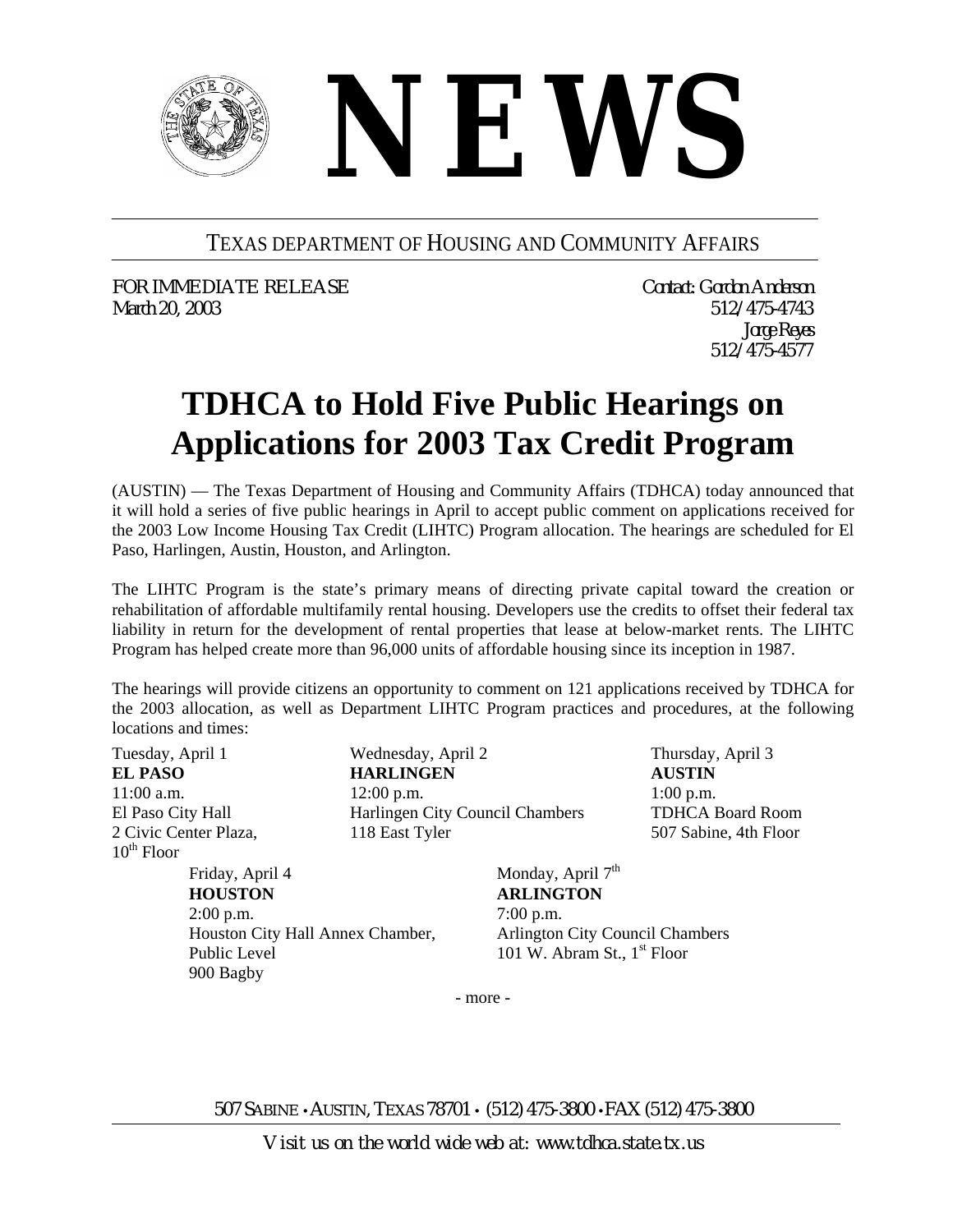

## TEXAS DEPARTMENT OF HOUSING AND COMMUNITY AFFAIRS

*FOR IMMEDIATE RELEASE Contact: Gordon Anderson March 20, 2003 512/475-4743* 

*Jorge Reyes 512/475-4577*

## **TDHCA to Hold Five Public Hearings on Applications for 2003 Tax Credit Program**

(AUSTIN) — The Texas Department of Housing and Community Affairs (TDHCA) today announced that it will hold a series of five public hearings in April to accept public comment on applications received for the 2003 Low Income Housing Tax Credit (LIHTC) Program allocation. The hearings are scheduled for El Paso, Harlingen, Austin, Houston, and Arlington.

The LIHTC Program is the state's primary means of directing private capital toward the creation or rehabilitation of affordable multifamily rental housing. Developers use the credits to offset their federal tax liability in return for the development of rental properties that lease at below-market rents. The LIHTC Program has helped create more than 96,000 units of affordable housing since its inception in 1987.

The hearings will provide citizens an opportunity to comment on 121 applications received by TDHCA for the 2003 allocation, as well as Department LIHTC Program practices and procedures, at the following locations and times:

Tuesday, April 1 **EL PASO**  11:00 a.m. El Paso City Hall 2 Civic Center Plaza,  $10^{th}$  Floor

Friday, April 4 **HOUSTON**  2:00 p.m. Houston City Hall Annex Chamber, Public Level 900 Bagby

Wednesday, April 2 **HARLINGEN**  12:00 p.m. Harlingen City Council Chambers 118 East Tyler

Thursday, April 3 **AUSTIN**  1:00 p.m. TDHCA Board Room 507 Sabine, 4th Floor

Monday, April  $7<sup>th</sup>$ **ARLINGTON** 7:00 p.m. Arlington City Council Chambers 101 W. Abram St.,  $1<sup>st</sup>$  Floor

- more -

507 SABINE • AUSTIN, TEXAS 78701 • (512) 475-3800 •FAX (512) 475-3800